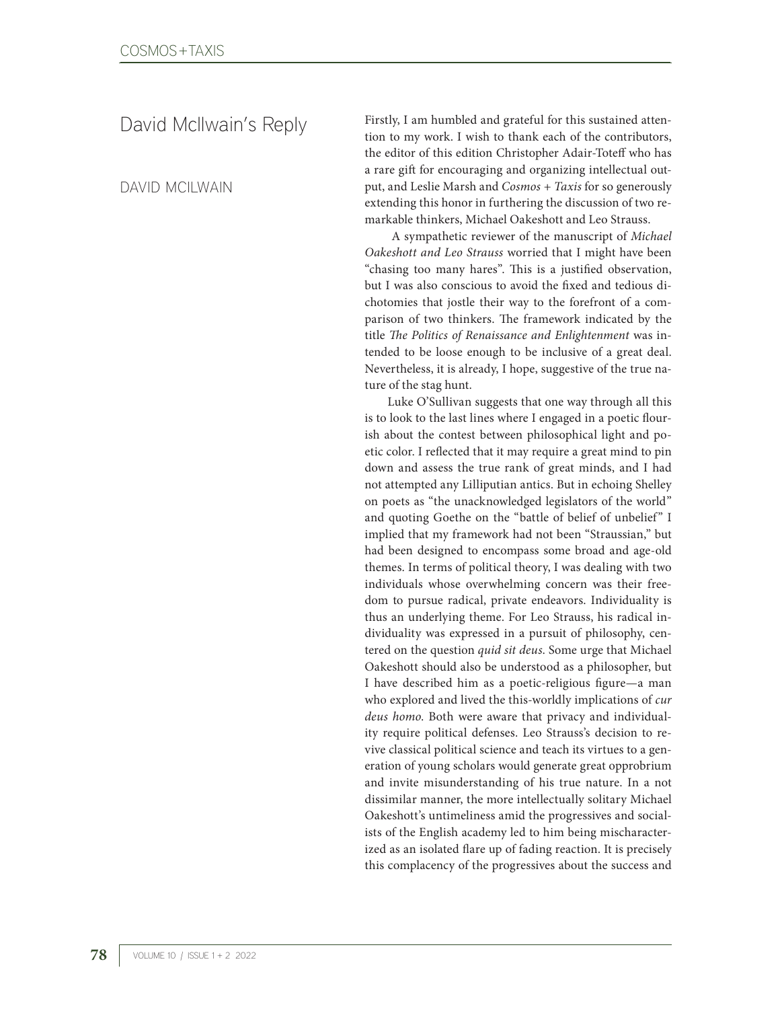David McIlwain's Reply

DAVID MCILWAIN

Firstly, I am humbled and grateful for this sustained attention to my work. I wish to thank each of the contributors, the editor of this edition Christopher Adair-Toteff who has a rare gift for encouraging and organizing intellectual output, and Leslie Marsh and *Cosmos + Taxis* for so generously extending this honor in furthering the discussion of two remarkable thinkers, Michael Oakeshott and Leo Strauss.

 A sympathetic reviewer of the manuscript of *Michael Oakeshott and Leo Strauss* worried that I might have been "chasing too many hares". This is a justified observation, but I was also conscious to avoid the fixed and tedious dichotomies that jostle their way to the forefront of a comparison of two thinkers. The framework indicated by the title *The Politics of Renaissance and Enlightenment* was intended to be loose enough to be inclusive of a great deal. Nevertheless, it is already, I hope, suggestive of the true nature of the stag hunt.

Luke O'Sullivan suggests that one way through all this is to look to the last lines where I engaged in a poetic flourish about the contest between philosophical light and poetic color. I reflected that it may require a great mind to pin down and assess the true rank of great minds, and I had not attempted any Lilliputian antics. But in echoing Shelley on poets as "the unacknowledged legislators of the world" and quoting Goethe on the "battle of belief of unbelief" I implied that my framework had not been "Straussian," but had been designed to encompass some broad and age-old themes. In terms of political theory, I was dealing with two individuals whose overwhelming concern was their freedom to pursue radical, private endeavors. Individuality is thus an underlying theme. For Leo Strauss, his radical individuality was expressed in a pursuit of philosophy, centered on the question *quid sit deus*. Some urge that Michael Oakeshott should also be understood as a philosopher, but I have described him as a poetic-religious figure—a man who explored and lived the this-worldly implications of *cur deus homo*. Both were aware that privacy and individuality require political defenses. Leo Strauss's decision to revive classical political science and teach its virtues to a generation of young scholars would generate great opprobrium and invite misunderstanding of his true nature. In a not dissimilar manner, the more intellectually solitary Michael Oakeshott's untimeliness amid the progressives and socialists of the English academy led to him being mischaracterized as an isolated flare up of fading reaction. It is precisely this complacency of the progressives about the success and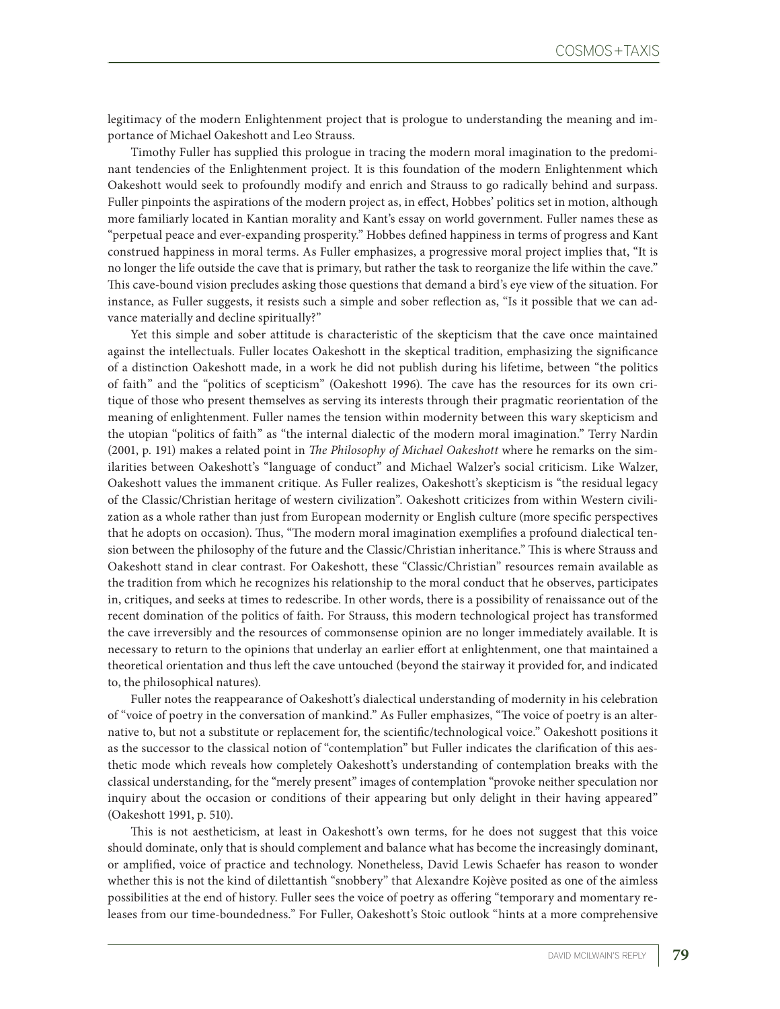legitimacy of the modern Enlightenment project that is prologue to understanding the meaning and importance of Michael Oakeshott and Leo Strauss.

Timothy Fuller has supplied this prologue in tracing the modern moral imagination to the predominant tendencies of the Enlightenment project. It is this foundation of the modern Enlightenment which Oakeshott would seek to profoundly modify and enrich and Strauss to go radically behind and surpass. Fuller pinpoints the aspirations of the modern project as, in effect, Hobbes' politics set in motion, although more familiarly located in Kantian morality and Kant's essay on world government. Fuller names these as "perpetual peace and ever-expanding prosperity." Hobbes defined happiness in terms of progress and Kant construed happiness in moral terms. As Fuller emphasizes, a progressive moral project implies that, "It is no longer the life outside the cave that is primary, but rather the task to reorganize the life within the cave." This cave-bound vision precludes asking those questions that demand a bird's eye view of the situation. For instance, as Fuller suggests, it resists such a simple and sober reflection as, "Is it possible that we can advance materially and decline spiritually?"

Yet this simple and sober attitude is characteristic of the skepticism that the cave once maintained against the intellectuals. Fuller locates Oakeshott in the skeptical tradition, emphasizing the significance of a distinction Oakeshott made, in a work he did not publish during his lifetime, between "the politics of faith" and the "politics of scepticism" (Oakeshott 1996). The cave has the resources for its own critique of those who present themselves as serving its interests through their pragmatic reorientation of the meaning of enlightenment. Fuller names the tension within modernity between this wary skepticism and the utopian "politics of faith" as "the internal dialectic of the modern moral imagination." Terry Nardin (2001, p. 191) makes a related point in *The Philosophy of Michael Oakeshott* where he remarks on the similarities between Oakeshott's "language of conduct" and Michael Walzer's social criticism. Like Walzer, Oakeshott values the immanent critique. As Fuller realizes, Oakeshott's skepticism is "the residual legacy of the Classic/Christian heritage of western civilization". Oakeshott criticizes from within Western civilization as a whole rather than just from European modernity or English culture (more specific perspectives that he adopts on occasion). Thus, "The modern moral imagination exemplifies a profound dialectical tension between the philosophy of the future and the Classic/Christian inheritance." This is where Strauss and Oakeshott stand in clear contrast. For Oakeshott, these "Classic/Christian" resources remain available as the tradition from which he recognizes his relationship to the moral conduct that he observes, participates in, critiques, and seeks at times to redescribe. In other words, there is a possibility of renaissance out of the recent domination of the politics of faith. For Strauss, this modern technological project has transformed the cave irreversibly and the resources of commonsense opinion are no longer immediately available. It is necessary to return to the opinions that underlay an earlier effort at enlightenment, one that maintained a theoretical orientation and thus left the cave untouched (beyond the stairway it provided for, and indicated to, the philosophical natures).

Fuller notes the reappearance of Oakeshott's dialectical understanding of modernity in his celebration of "voice of poetry in the conversation of mankind." As Fuller emphasizes, "The voice of poetry is an alternative to, but not a substitute or replacement for, the scientific/technological voice." Oakeshott positions it as the successor to the classical notion of "contemplation" but Fuller indicates the clarification of this aesthetic mode which reveals how completely Oakeshott's understanding of contemplation breaks with the classical understanding, for the "merely present" images of contemplation "provoke neither speculation nor inquiry about the occasion or conditions of their appearing but only delight in their having appeared" (Oakeshott 1991, p. 510).

This is not aestheticism, at least in Oakeshott's own terms, for he does not suggest that this voice should dominate, only that is should complement and balance what has become the increasingly dominant, or amplified, voice of practice and technology. Nonetheless, David Lewis Schaefer has reason to wonder whether this is not the kind of dilettantish "snobbery" that Alexandre Kojève posited as one of the aimless possibilities at the end of history. Fuller sees the voice of poetry as offering "temporary and momentary releases from our time-boundedness." For Fuller, Oakeshott's Stoic outlook "hints at a more comprehensive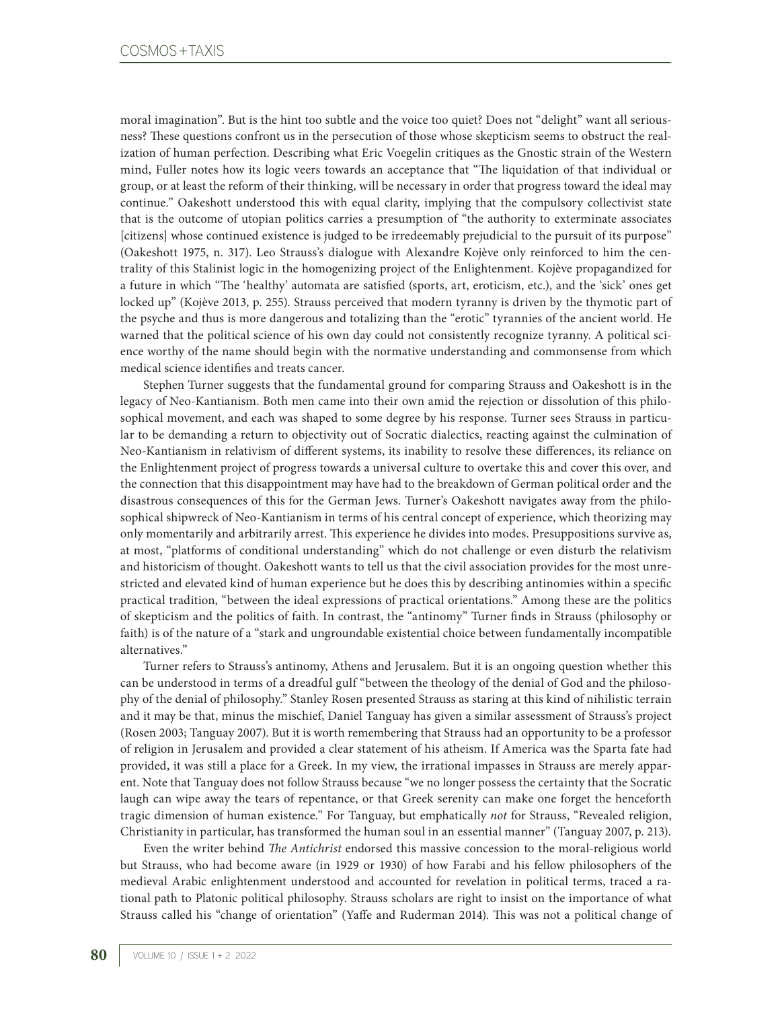moral imagination". But is the hint too subtle and the voice too quiet? Does not "delight" want all seriousness? These questions confront us in the persecution of those whose skepticism seems to obstruct the realization of human perfection. Describing what Eric Voegelin critiques as the Gnostic strain of the Western mind, Fuller notes how its logic veers towards an acceptance that "The liquidation of that individual or group, or at least the reform of their thinking, will be necessary in order that progress toward the ideal may continue." Oakeshott understood this with equal clarity, implying that the compulsory collectivist state that is the outcome of utopian politics carries a presumption of "the authority to exterminate associates [citizens] whose continued existence is judged to be irredeemably prejudicial to the pursuit of its purpose" (Oakeshott 1975, n. 317). Leo Strauss's dialogue with Alexandre Kojève only reinforced to him the centrality of this Stalinist logic in the homogenizing project of the Enlightenment. Kojève propagandized for a future in which "The 'healthy' automata are satisfied (sports, art, eroticism, etc.), and the 'sick' ones get locked up" (Kojève 2013, p. 255). Strauss perceived that modern tyranny is driven by the thymotic part of the psyche and thus is more dangerous and totalizing than the "erotic" tyrannies of the ancient world. He warned that the political science of his own day could not consistently recognize tyranny. A political science worthy of the name should begin with the normative understanding and commonsense from which medical science identifies and treats cancer.

Stephen Turner suggests that the fundamental ground for comparing Strauss and Oakeshott is in the legacy of Neo-Kantianism. Both men came into their own amid the rejection or dissolution of this philosophical movement, and each was shaped to some degree by his response. Turner sees Strauss in particular to be demanding a return to objectivity out of Socratic dialectics, reacting against the culmination of Neo-Kantianism in relativism of different systems, its inability to resolve these differences, its reliance on the Enlightenment project of progress towards a universal culture to overtake this and cover this over, and the connection that this disappointment may have had to the breakdown of German political order and the disastrous consequences of this for the German Jews. Turner's Oakeshott navigates away from the philosophical shipwreck of Neo-Kantianism in terms of his central concept of experience, which theorizing may only momentarily and arbitrarily arrest. This experience he divides into modes. Presuppositions survive as, at most, "platforms of conditional understanding" which do not challenge or even disturb the relativism and historicism of thought. Oakeshott wants to tell us that the civil association provides for the most unrestricted and elevated kind of human experience but he does this by describing antinomies within a specific practical tradition, "between the ideal expressions of practical orientations." Among these are the politics of skepticism and the politics of faith. In contrast, the "antinomy" Turner finds in Strauss (philosophy or faith) is of the nature of a "stark and ungroundable existential choice between fundamentally incompatible alternatives."

Turner refers to Strauss's antinomy, Athens and Jerusalem. But it is an ongoing question whether this can be understood in terms of a dreadful gulf "between the theology of the denial of God and the philosophy of the denial of philosophy." Stanley Rosen presented Strauss as staring at this kind of nihilistic terrain and it may be that, minus the mischief, Daniel Tanguay has given a similar assessment of Strauss's project (Rosen 2003; Tanguay 2007). But it is worth remembering that Strauss had an opportunity to be a professor of religion in Jerusalem and provided a clear statement of his atheism. If America was the Sparta fate had provided, it was still a place for a Greek. In my view, the irrational impasses in Strauss are merely apparent. Note that Tanguay does not follow Strauss because "we no longer possess the certainty that the Socratic laugh can wipe away the tears of repentance, or that Greek serenity can make one forget the henceforth tragic dimension of human existence." For Tanguay, but emphatically *not* for Strauss, "Revealed religion, Christianity in particular, has transformed the human soul in an essential manner" (Tanguay 2007, p. 213).

Even the writer behind *The Antichrist* endorsed this massive concession to the moral-religious world but Strauss, who had become aware (in 1929 or 1930) of how Farabi and his fellow philosophers of the medieval Arabic enlightenment understood and accounted for revelation in political terms, traced a rational path to Platonic political philosophy. Strauss scholars are right to insist on the importance of what Strauss called his "change of orientation" (Yaffe and Ruderman 2014). This was not a political change of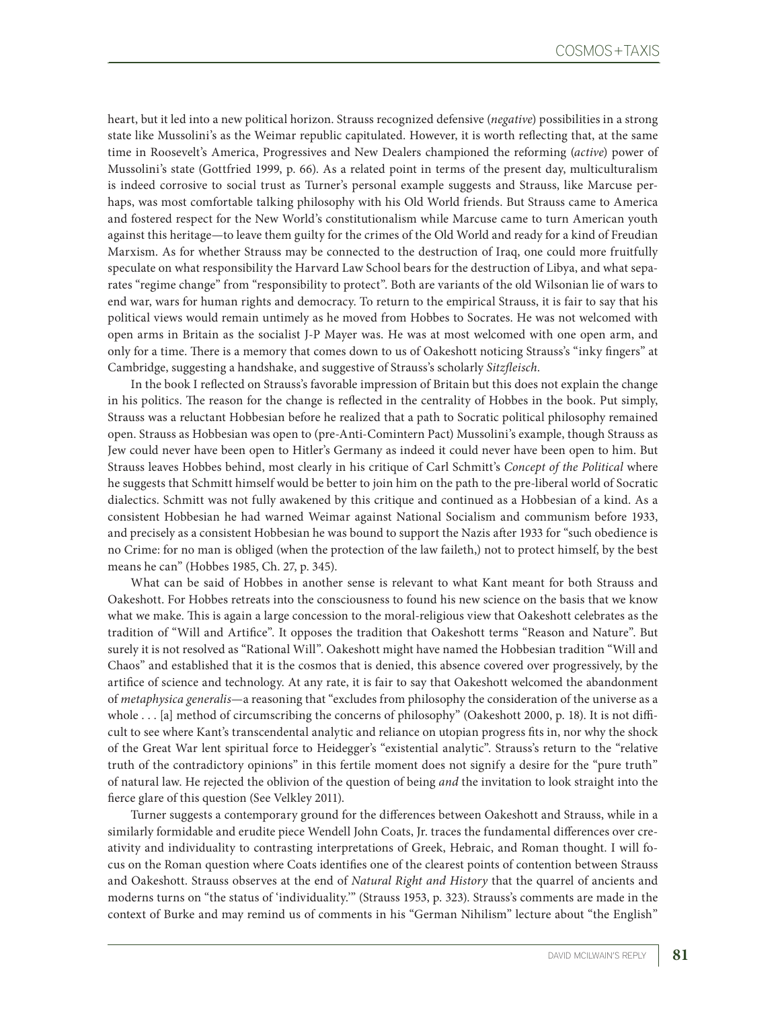heart, but it led into a new political horizon. Strauss recognized defensive (*negative*) possibilities in a strong state like Mussolini's as the Weimar republic capitulated. However, it is worth reflecting that, at the same time in Roosevelt's America, Progressives and New Dealers championed the reforming (*active*) power of Mussolini's state (Gottfried 1999, p. 66). As a related point in terms of the present day, multiculturalism is indeed corrosive to social trust as Turner's personal example suggests and Strauss, like Marcuse perhaps, was most comfortable talking philosophy with his Old World friends. But Strauss came to America and fostered respect for the New World's constitutionalism while Marcuse came to turn American youth against this heritage—to leave them guilty for the crimes of the Old World and ready for a kind of Freudian Marxism. As for whether Strauss may be connected to the destruction of Iraq, one could more fruitfully speculate on what responsibility the Harvard Law School bears for the destruction of Libya, and what separates "regime change" from "responsibility to protect". Both are variants of the old Wilsonian lie of wars to end war, wars for human rights and democracy. To return to the empirical Strauss, it is fair to say that his political views would remain untimely as he moved from Hobbes to Socrates. He was not welcomed with open arms in Britain as the socialist J-P Mayer was. He was at most welcomed with one open arm, and only for a time. There is a memory that comes down to us of Oakeshott noticing Strauss's "inky fingers" at Cambridge, suggesting a handshake, and suggestive of Strauss's scholarly *Sitzfleisch*.

In the book I reflected on Strauss's favorable impression of Britain but this does not explain the change in his politics. The reason for the change is reflected in the centrality of Hobbes in the book. Put simply, Strauss was a reluctant Hobbesian before he realized that a path to Socratic political philosophy remained open. Strauss as Hobbesian was open to (pre-Anti-Comintern Pact) Mussolini's example, though Strauss as Jew could never have been open to Hitler's Germany as indeed it could never have been open to him. But Strauss leaves Hobbes behind, most clearly in his critique of Carl Schmitt's *Concept of the Political* where he suggests that Schmitt himself would be better to join him on the path to the pre-liberal world of Socratic dialectics. Schmitt was not fully awakened by this critique and continued as a Hobbesian of a kind. As a consistent Hobbesian he had warned Weimar against National Socialism and communism before 1933, and precisely as a consistent Hobbesian he was bound to support the Nazis after 1933 for "such obedience is no Crime: for no man is obliged (when the protection of the law faileth,) not to protect himself, by the best means he can" (Hobbes 1985, Ch. 27, p. 345).

What can be said of Hobbes in another sense is relevant to what Kant meant for both Strauss and Oakeshott. For Hobbes retreats into the consciousness to found his new science on the basis that we know what we make. This is again a large concession to the moral-religious view that Oakeshott celebrates as the tradition of "Will and Artifice". It opposes the tradition that Oakeshott terms "Reason and Nature". But surely it is not resolved as "Rational Will". Oakeshott might have named the Hobbesian tradition "Will and Chaos" and established that it is the cosmos that is denied, this absence covered over progressively, by the artifice of science and technology. At any rate, it is fair to say that Oakeshott welcomed the abandonment of *metaphysica generalis*—a reasoning that "excludes from philosophy the consideration of the universe as a whole . . . [a] method of circumscribing the concerns of philosophy" (Oakeshott 2000, p. 18). It is not difficult to see where Kant's transcendental analytic and reliance on utopian progress fits in, nor why the shock of the Great War lent spiritual force to Heidegger's "existential analytic". Strauss's return to the "relative truth of the contradictory opinions" in this fertile moment does not signify a desire for the "pure truth" of natural law. He rejected the oblivion of the question of being *and* the invitation to look straight into the fierce glare of this question (See Velkley 2011).

Turner suggests a contemporary ground for the differences between Oakeshott and Strauss, while in a similarly formidable and erudite piece Wendell John Coats, Jr. traces the fundamental differences over creativity and individuality to contrasting interpretations of Greek, Hebraic, and Roman thought. I will focus on the Roman question where Coats identifies one of the clearest points of contention between Strauss and Oakeshott. Strauss observes at the end of *Natural Right and History* that the quarrel of ancients and moderns turns on "the status of 'individuality.'" (Strauss 1953, p. 323). Strauss's comments are made in the context of Burke and may remind us of comments in his "German Nihilism" lecture about "the English"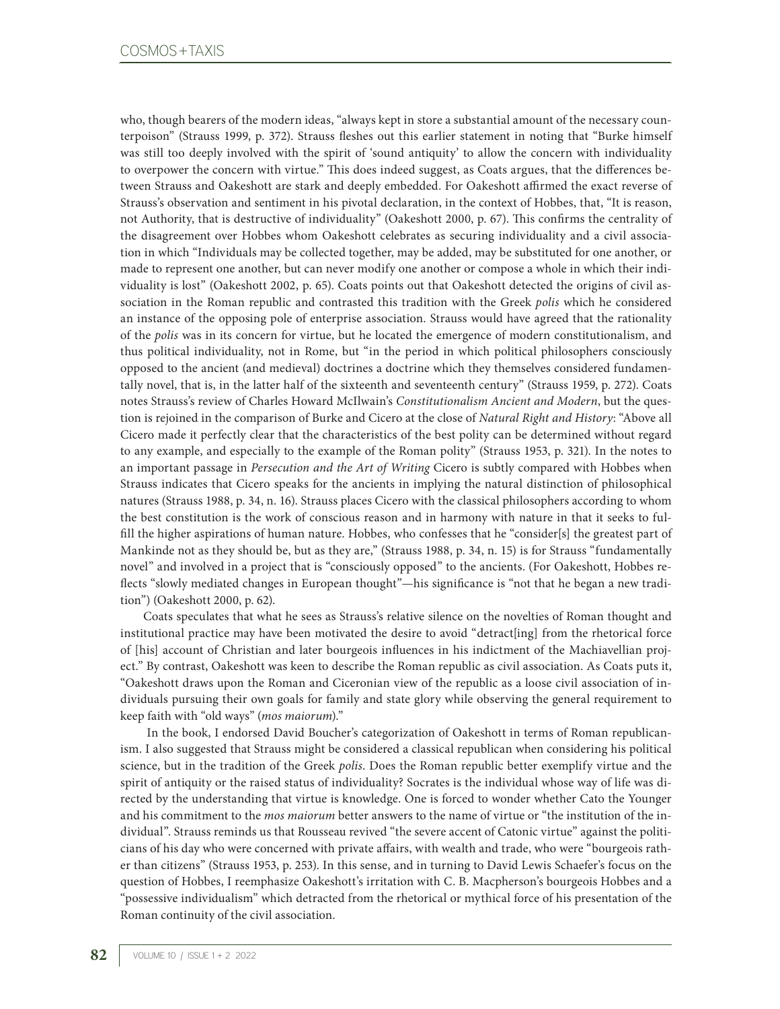who, though bearers of the modern ideas, "always kept in store a substantial amount of the necessary counterpoison" (Strauss 1999, p. 372). Strauss fleshes out this earlier statement in noting that "Burke himself was still too deeply involved with the spirit of 'sound antiquity' to allow the concern with individuality to overpower the concern with virtue." This does indeed suggest, as Coats argues, that the differences between Strauss and Oakeshott are stark and deeply embedded. For Oakeshott affirmed the exact reverse of Strauss's observation and sentiment in his pivotal declaration, in the context of Hobbes, that, "It is reason, not Authority, that is destructive of individuality" (Oakeshott 2000, p. 67). This confirms the centrality of the disagreement over Hobbes whom Oakeshott celebrates as securing individuality and a civil association in which "Individuals may be collected together, may be added, may be substituted for one another, or made to represent one another, but can never modify one another or compose a whole in which their individuality is lost" (Oakeshott 2002, p. 65). Coats points out that Oakeshott detected the origins of civil association in the Roman republic and contrasted this tradition with the Greek *polis* which he considered an instance of the opposing pole of enterprise association. Strauss would have agreed that the rationality of the *polis* was in its concern for virtue, but he located the emergence of modern constitutionalism, and thus political individuality, not in Rome, but "in the period in which political philosophers consciously opposed to the ancient (and medieval) doctrines a doctrine which they themselves considered fundamentally novel, that is, in the latter half of the sixteenth and seventeenth century" (Strauss 1959, p. 272). Coats notes Strauss's review of Charles Howard McIlwain's *Constitutionalism Ancient and Modern*, but the question is rejoined in the comparison of Burke and Cicero at the close of *Natural Right and History*: "Above all Cicero made it perfectly clear that the characteristics of the best polity can be determined without regard to any example, and especially to the example of the Roman polity" (Strauss 1953, p. 321). In the notes to an important passage in *Persecution and the Art of Writing* Cicero is subtly compared with Hobbes when Strauss indicates that Cicero speaks for the ancients in implying the natural distinction of philosophical natures (Strauss 1988, p. 34, n. 16). Strauss places Cicero with the classical philosophers according to whom the best constitution is the work of conscious reason and in harmony with nature in that it seeks to fulfill the higher aspirations of human nature. Hobbes, who confesses that he "consider[s] the greatest part of Mankinde not as they should be, but as they are," (Strauss 1988, p. 34, n. 15) is for Strauss "fundamentally novel" and involved in a project that is "consciously opposed" to the ancients. (For Oakeshott, Hobbes reflects "slowly mediated changes in European thought"—his significance is "not that he began a new tradition") (Oakeshott 2000, p. 62).

Coats speculates that what he sees as Strauss's relative silence on the novelties of Roman thought and institutional practice may have been motivated the desire to avoid "detract[ing] from the rhetorical force of [his] account of Christian and later bourgeois influences in his indictment of the Machiavellian project." By contrast, Oakeshott was keen to describe the Roman republic as civil association. As Coats puts it, "Oakeshott draws upon the Roman and Ciceronian view of the republic as a loose civil association of individuals pursuing their own goals for family and state glory while observing the general requirement to keep faith with "old ways" (*mos maiorum*)."

 In the book, I endorsed David Boucher's categorization of Oakeshott in terms of Roman republicanism. I also suggested that Strauss might be considered a classical republican when considering his political science, but in the tradition of the Greek *polis*. Does the Roman republic better exemplify virtue and the spirit of antiquity or the raised status of individuality? Socrates is the individual whose way of life was directed by the understanding that virtue is knowledge. One is forced to wonder whether Cato the Younger and his commitment to the *mos maiorum* better answers to the name of virtue or "the institution of the individual". Strauss reminds us that Rousseau revived "the severe accent of Catonic virtue" against the politicians of his day who were concerned with private affairs, with wealth and trade, who were "bourgeois rather than citizens" (Strauss 1953, p. 253). In this sense, and in turning to David Lewis Schaefer's focus on the question of Hobbes, I reemphasize Oakeshott's irritation with C. B. Macpherson's bourgeois Hobbes and a "possessive individualism" which detracted from the rhetorical or mythical force of his presentation of the Roman continuity of the civil association.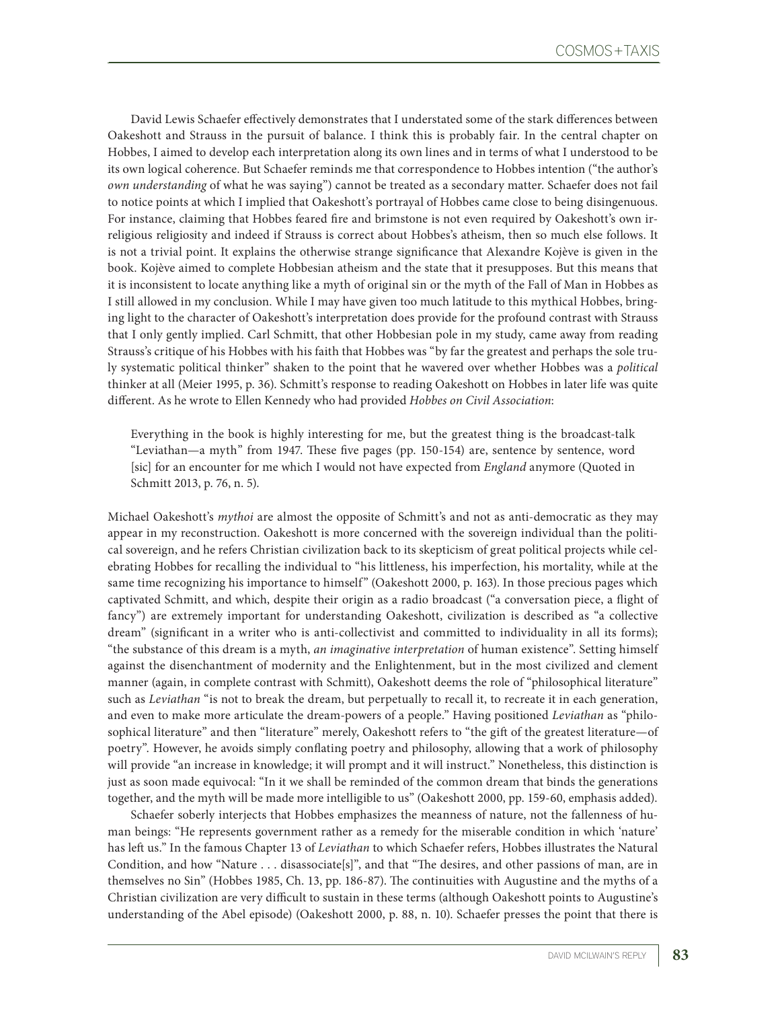David Lewis Schaefer effectively demonstrates that I understated some of the stark differences between Oakeshott and Strauss in the pursuit of balance. I think this is probably fair. In the central chapter on Hobbes, I aimed to develop each interpretation along its own lines and in terms of what I understood to be its own logical coherence. But Schaefer reminds me that correspondence to Hobbes intention ("the author's *own understanding* of what he was saying") cannot be treated as a secondary matter. Schaefer does not fail to notice points at which I implied that Oakeshott's portrayal of Hobbes came close to being disingenuous. For instance, claiming that Hobbes feared fire and brimstone is not even required by Oakeshott's own irreligious religiosity and indeed if Strauss is correct about Hobbes's atheism, then so much else follows. It is not a trivial point. It explains the otherwise strange significance that Alexandre Kojève is given in the book. Kojève aimed to complete Hobbesian atheism and the state that it presupposes. But this means that it is inconsistent to locate anything like a myth of original sin or the myth of the Fall of Man in Hobbes as I still allowed in my conclusion. While I may have given too much latitude to this mythical Hobbes, bringing light to the character of Oakeshott's interpretation does provide for the profound contrast with Strauss that I only gently implied. Carl Schmitt, that other Hobbesian pole in my study, came away from reading Strauss's critique of his Hobbes with his faith that Hobbes was "by far the greatest and perhaps the sole truly systematic political thinker" shaken to the point that he wavered over whether Hobbes was a *political*  thinker at all (Meier 1995, p. 36). Schmitt's response to reading Oakeshott on Hobbes in later life was quite different. As he wrote to Ellen Kennedy who had provided *Hobbes on Civil Association*:

Everything in the book is highly interesting for me, but the greatest thing is the broadcast-talk "Leviathan—a myth" from 1947. These five pages (pp. 150-154) are, sentence by sentence, word [sic] for an encounter for me which I would not have expected from *England* anymore (Quoted in Schmitt 2013, p. 76, n. 5).

Michael Oakeshott's *mythoi* are almost the opposite of Schmitt's and not as anti-democratic as they may appear in my reconstruction. Oakeshott is more concerned with the sovereign individual than the political sovereign, and he refers Christian civilization back to its skepticism of great political projects while celebrating Hobbes for recalling the individual to "his littleness, his imperfection, his mortality, while at the same time recognizing his importance to himself" (Oakeshott 2000, p. 163). In those precious pages which captivated Schmitt, and which, despite their origin as a radio broadcast ("a conversation piece, a flight of fancy") are extremely important for understanding Oakeshott, civilization is described as "a collective dream" (significant in a writer who is anti-collectivist and committed to individuality in all its forms); "the substance of this dream is a myth, *an imaginative interpretation* of human existence". Setting himself against the disenchantment of modernity and the Enlightenment, but in the most civilized and clement manner (again, in complete contrast with Schmitt), Oakeshott deems the role of "philosophical literature" such as *Leviathan* "is not to break the dream, but perpetually to recall it, to recreate it in each generation, and even to make more articulate the dream-powers of a people." Having positioned *Leviathan* as "philosophical literature" and then "literature" merely, Oakeshott refers to "the gift of the greatest literature—of poetry". However, he avoids simply conflating poetry and philosophy, allowing that a work of philosophy will provide "an increase in knowledge; it will prompt and it will instruct." Nonetheless, this distinction is just as soon made equivocal: "In it we shall be reminded of the common dream that binds the generations together, and the myth will be made more intelligible to us" (Oakeshott 2000, pp. 159-60, emphasis added).

Schaefer soberly interjects that Hobbes emphasizes the meanness of nature, not the fallenness of human beings: "He represents government rather as a remedy for the miserable condition in which 'nature' has left us." In the famous Chapter 13 of *Leviathan* to which Schaefer refers, Hobbes illustrates the Natural Condition, and how "Nature . . . disassociate[s]", and that "The desires, and other passions of man, are in themselves no Sin" (Hobbes 1985, Ch. 13, pp. 186-87). The continuities with Augustine and the myths of a Christian civilization are very difficult to sustain in these terms (although Oakeshott points to Augustine's understanding of the Abel episode) (Oakeshott 2000, p. 88, n. 10). Schaefer presses the point that there is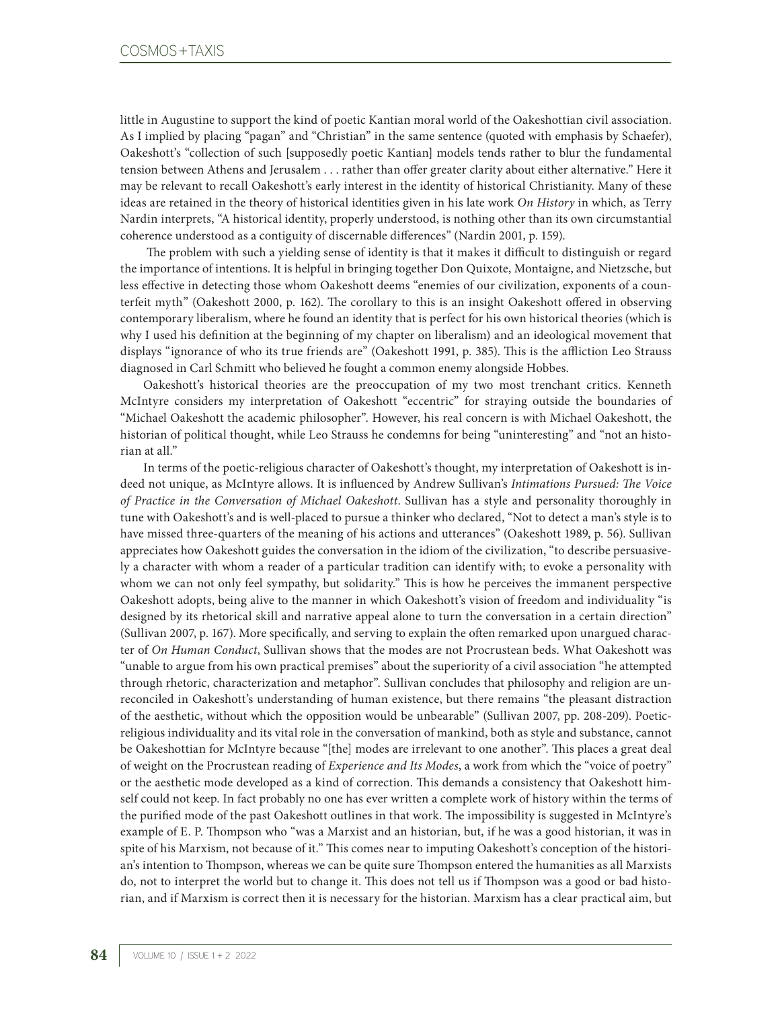little in Augustine to support the kind of poetic Kantian moral world of the Oakeshottian civil association. As I implied by placing "pagan" and "Christian" in the same sentence (quoted with emphasis by Schaefer), Oakeshott's "collection of such [supposedly poetic Kantian] models tends rather to blur the fundamental tension between Athens and Jerusalem . . . rather than offer greater clarity about either alternative." Here it may be relevant to recall Oakeshott's early interest in the identity of historical Christianity. Many of these ideas are retained in the theory of historical identities given in his late work *On History* in which, as Terry Nardin interprets, "A historical identity, properly understood, is nothing other than its own circumstantial coherence understood as a contiguity of discernable differences" (Nardin 2001, p. 159).

 The problem with such a yielding sense of identity is that it makes it difficult to distinguish or regard the importance of intentions. It is helpful in bringing together Don Quixote, Montaigne, and Nietzsche, but less effective in detecting those whom Oakeshott deems "enemies of our civilization, exponents of a counterfeit myth" (Oakeshott 2000, p. 162). The corollary to this is an insight Oakeshott offered in observing contemporary liberalism, where he found an identity that is perfect for his own historical theories (which is why I used his definition at the beginning of my chapter on liberalism) and an ideological movement that displays "ignorance of who its true friends are" (Oakeshott 1991, p. 385). This is the affliction Leo Strauss diagnosed in Carl Schmitt who believed he fought a common enemy alongside Hobbes.

Oakeshott's historical theories are the preoccupation of my two most trenchant critics. Kenneth McIntyre considers my interpretation of Oakeshott "eccentric" for straying outside the boundaries of "Michael Oakeshott the academic philosopher". However, his real concern is with Michael Oakeshott, the historian of political thought, while Leo Strauss he condemns for being "uninteresting" and "not an historian at all."

In terms of the poetic-religious character of Oakeshott's thought, my interpretation of Oakeshott is indeed not unique, as McIntyre allows. It is influenced by Andrew Sullivan's *Intimations Pursued: The Voice of Practice in the Conversation of Michael Oakeshott*. Sullivan has a style and personality thoroughly in tune with Oakeshott's and is well-placed to pursue a thinker who declared, "Not to detect a man's style is to have missed three-quarters of the meaning of his actions and utterances" (Oakeshott 1989, p. 56). Sullivan appreciates how Oakeshott guides the conversation in the idiom of the civilization, "to describe persuasively a character with whom a reader of a particular tradition can identify with; to evoke a personality with whom we can not only feel sympathy, but solidarity." This is how he perceives the immanent perspective Oakeshott adopts, being alive to the manner in which Oakeshott's vision of freedom and individuality "is designed by its rhetorical skill and narrative appeal alone to turn the conversation in a certain direction" (Sullivan 2007, p. 167). More specifically, and serving to explain the often remarked upon unargued character of *On Human Conduct*, Sullivan shows that the modes are not Procrustean beds. What Oakeshott was "unable to argue from his own practical premises" about the superiority of a civil association "he attempted through rhetoric, characterization and metaphor". Sullivan concludes that philosophy and religion are unreconciled in Oakeshott's understanding of human existence, but there remains "the pleasant distraction of the aesthetic, without which the opposition would be unbearable" (Sullivan 2007, pp. 208-209). Poeticreligious individuality and its vital role in the conversation of mankind, both as style and substance, cannot be Oakeshottian for McIntyre because "[the] modes are irrelevant to one another". This places a great deal of weight on the Procrustean reading of *Experience and Its Modes*, a work from which the "voice of poetry" or the aesthetic mode developed as a kind of correction. This demands a consistency that Oakeshott himself could not keep. In fact probably no one has ever written a complete work of history within the terms of the purified mode of the past Oakeshott outlines in that work. The impossibility is suggested in McIntyre's example of E. P. Thompson who "was a Marxist and an historian, but, if he was a good historian, it was in spite of his Marxism, not because of it." This comes near to imputing Oakeshott's conception of the historian's intention to Thompson, whereas we can be quite sure Thompson entered the humanities as all Marxists do, not to interpret the world but to change it. This does not tell us if Thompson was a good or bad historian, and if Marxism is correct then it is necessary for the historian. Marxism has a clear practical aim, but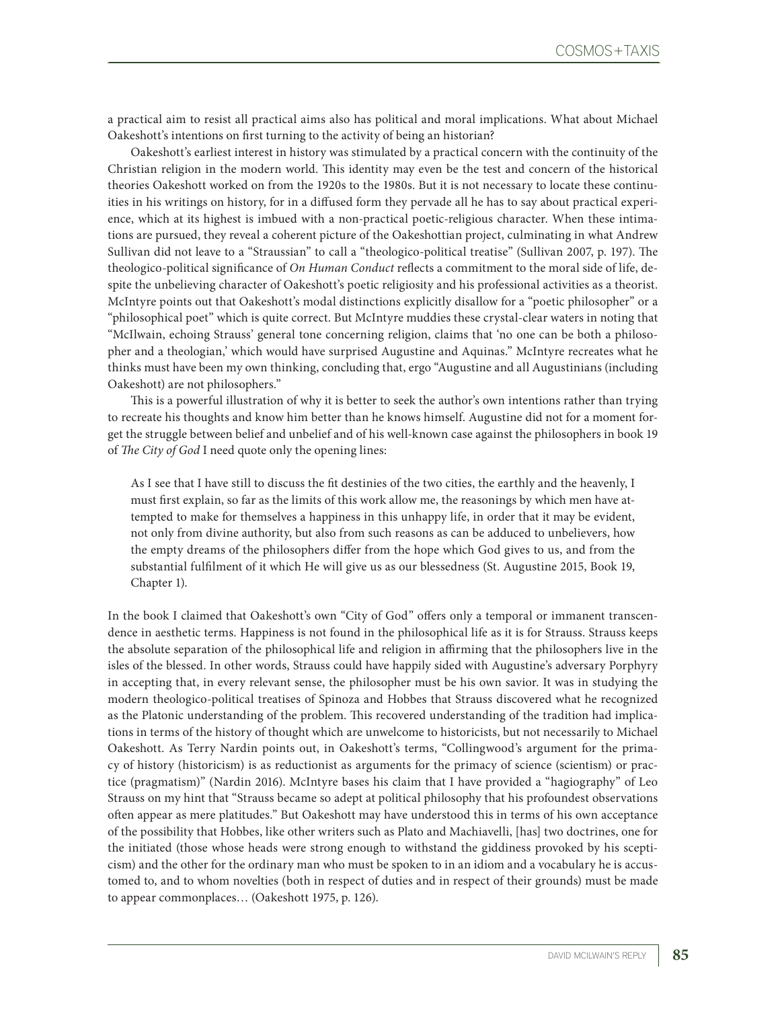a practical aim to resist all practical aims also has political and moral implications. What about Michael Oakeshott's intentions on first turning to the activity of being an historian?

Oakeshott's earliest interest in history was stimulated by a practical concern with the continuity of the Christian religion in the modern world. This identity may even be the test and concern of the historical theories Oakeshott worked on from the 1920s to the 1980s. But it is not necessary to locate these continuities in his writings on history, for in a diffused form they pervade all he has to say about practical experience, which at its highest is imbued with a non-practical poetic-religious character. When these intimations are pursued, they reveal a coherent picture of the Oakeshottian project, culminating in what Andrew Sullivan did not leave to a "Straussian" to call a "theologico-political treatise" (Sullivan 2007, p. 197). The theologico-political significance of *On Human Conduct* reflects a commitment to the moral side of life, despite the unbelieving character of Oakeshott's poetic religiosity and his professional activities as a theorist. McIntyre points out that Oakeshott's modal distinctions explicitly disallow for a "poetic philosopher" or a "philosophical poet" which is quite correct. But McIntyre muddies these crystal-clear waters in noting that "McIlwain, echoing Strauss' general tone concerning religion, claims that 'no one can be both a philosopher and a theologian,' which would have surprised Augustine and Aquinas." McIntyre recreates what he thinks must have been my own thinking, concluding that, ergo "Augustine and all Augustinians (including Oakeshott) are not philosophers."

This is a powerful illustration of why it is better to seek the author's own intentions rather than trying to recreate his thoughts and know him better than he knows himself. Augustine did not for a moment forget the struggle between belief and unbelief and of his well-known case against the philosophers in book 19 of *The City of God* I need quote only the opening lines:

As I see that I have still to discuss the fit destinies of the two cities, the earthly and the heavenly, I must first explain, so far as the limits of this work allow me, the reasonings by which men have attempted to make for themselves a happiness in this unhappy life, in order that it may be evident, not only from divine authority, but also from such reasons as can be adduced to unbelievers, how the empty dreams of the philosophers differ from the hope which God gives to us, and from the substantial fulfilment of it which He will give us as our blessedness (St. Augustine 2015, Book 19, Chapter 1).

In the book I claimed that Oakeshott's own "City of God" offers only a temporal or immanent transcendence in aesthetic terms. Happiness is not found in the philosophical life as it is for Strauss. Strauss keeps the absolute separation of the philosophical life and religion in affirming that the philosophers live in the isles of the blessed. In other words, Strauss could have happily sided with Augustine's adversary Porphyry in accepting that, in every relevant sense, the philosopher must be his own savior. It was in studying the modern theologico-political treatises of Spinoza and Hobbes that Strauss discovered what he recognized as the Platonic understanding of the problem. This recovered understanding of the tradition had implications in terms of the history of thought which are unwelcome to historicists, but not necessarily to Michael Oakeshott. As Terry Nardin points out, in Oakeshott's terms, "Collingwood's argument for the primacy of history (historicism) is as reductionist as arguments for the primacy of science (scientism) or practice (pragmatism)" (Nardin 2016). McIntyre bases his claim that I have provided a "hagiography" of Leo Strauss on my hint that "Strauss became so adept at political philosophy that his profoundest observations often appear as mere platitudes." But Oakeshott may have understood this in terms of his own acceptance of the possibility that Hobbes, like other writers such as Plato and Machiavelli, [has] two doctrines, one for the initiated (those whose heads were strong enough to withstand the giddiness provoked by his scepticism) and the other for the ordinary man who must be spoken to in an idiom and a vocabulary he is accustomed to, and to whom novelties (both in respect of duties and in respect of their grounds) must be made to appear commonplaces… (Oakeshott 1975, p. 126).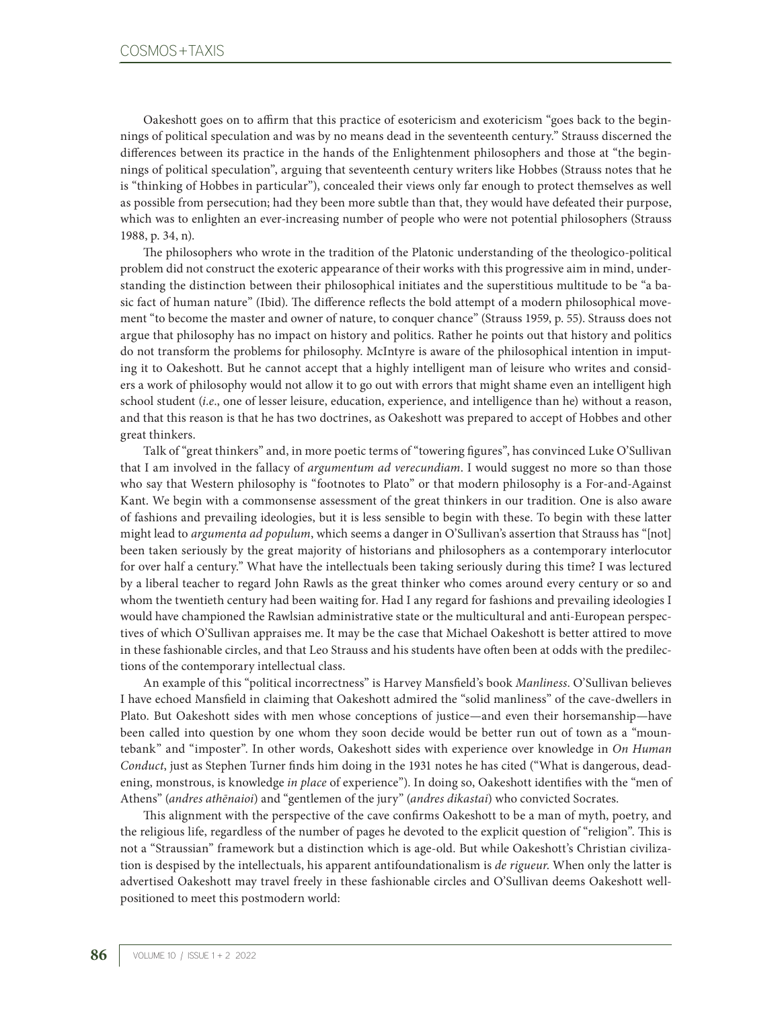Oakeshott goes on to affirm that this practice of esotericism and exotericism "goes back to the beginnings of political speculation and was by no means dead in the seventeenth century." Strauss discerned the differences between its practice in the hands of the Enlightenment philosophers and those at "the beginnings of political speculation", arguing that seventeenth century writers like Hobbes (Strauss notes that he is "thinking of Hobbes in particular"), concealed their views only far enough to protect themselves as well as possible from persecution; had they been more subtle than that, they would have defeated their purpose, which was to enlighten an ever-increasing number of people who were not potential philosophers (Strauss 1988, p. 34, n).

The philosophers who wrote in the tradition of the Platonic understanding of the theologico-political problem did not construct the exoteric appearance of their works with this progressive aim in mind, understanding the distinction between their philosophical initiates and the superstitious multitude to be "a basic fact of human nature" (Ibid). The difference reflects the bold attempt of a modern philosophical movement "to become the master and owner of nature, to conquer chance" (Strauss 1959, p. 55). Strauss does not argue that philosophy has no impact on history and politics. Rather he points out that history and politics do not transform the problems for philosophy. McIntyre is aware of the philosophical intention in imputing it to Oakeshott. But he cannot accept that a highly intelligent man of leisure who writes and considers a work of philosophy would not allow it to go out with errors that might shame even an intelligent high school student (*i*.*e*., one of lesser leisure, education, experience, and intelligence than he) without a reason, and that this reason is that he has two doctrines, as Oakeshott was prepared to accept of Hobbes and other great thinkers.

Talk of "great thinkers" and, in more poetic terms of "towering figures", has convinced Luke O'Sullivan that I am involved in the fallacy of *argumentum ad verecundiam*. I would suggest no more so than those who say that Western philosophy is "footnotes to Plato" or that modern philosophy is a For-and-Against Kant. We begin with a commonsense assessment of the great thinkers in our tradition. One is also aware of fashions and prevailing ideologies, but it is less sensible to begin with these. To begin with these latter might lead to *argumenta ad populum*, which seems a danger in O'Sullivan's assertion that Strauss has "[not] been taken seriously by the great majority of historians and philosophers as a contemporary interlocutor for over half a century." What have the intellectuals been taking seriously during this time? I was lectured by a liberal teacher to regard John Rawls as the great thinker who comes around every century or so and whom the twentieth century had been waiting for. Had I any regard for fashions and prevailing ideologies I would have championed the Rawlsian administrative state or the multicultural and anti-European perspectives of which O'Sullivan appraises me. It may be the case that Michael Oakeshott is better attired to move in these fashionable circles, and that Leo Strauss and his students have often been at odds with the predilections of the contemporary intellectual class.

An example of this "political incorrectness" is Harvey Mansfield's book *Manliness*. O'Sullivan believes I have echoed Mansfield in claiming that Oakeshott admired the "solid manliness" of the cave-dwellers in Plato. But Oakeshott sides with men whose conceptions of justice—and even their horsemanship—have been called into question by one whom they soon decide would be better run out of town as a "mountebank" and "imposter". In other words, Oakeshott sides with experience over knowledge in *On Human Conduct*, just as Stephen Turner finds him doing in the 1931 notes he has cited ("What is dangerous, deadening, monstrous, is knowledge *in place* of experience"). In doing so, Oakeshott identifies with the "men of Athens" (*andres athēnaioi*) and "gentlemen of the jury" (*andres dikastai*) who convicted Socrates.

This alignment with the perspective of the cave confirms Oakeshott to be a man of myth, poetry, and the religious life, regardless of the number of pages he devoted to the explicit question of "religion". This is not a "Straussian" framework but a distinction which is age-old. But while Oakeshott's Christian civilization is despised by the intellectuals, his apparent antifoundationalism is *de rigueur*. When only the latter is advertised Oakeshott may travel freely in these fashionable circles and O'Sullivan deems Oakeshott wellpositioned to meet this postmodern world: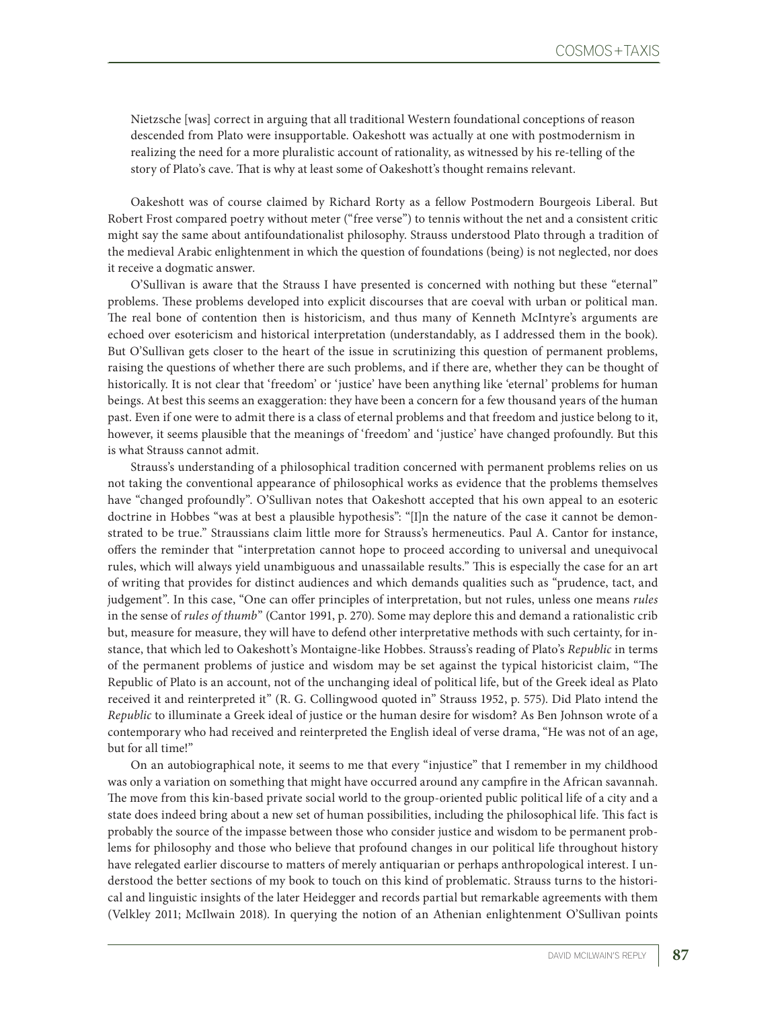Nietzsche [was] correct in arguing that all traditional Western foundational conceptions of reason descended from Plato were insupportable. Oakeshott was actually at one with postmodernism in realizing the need for a more pluralistic account of rationality, as witnessed by his re-telling of the story of Plato's cave. That is why at least some of Oakeshott's thought remains relevant.

Oakeshott was of course claimed by Richard Rorty as a fellow Postmodern Bourgeois Liberal. But Robert Frost compared poetry without meter ("free verse") to tennis without the net and a consistent critic might say the same about antifoundationalist philosophy. Strauss understood Plato through a tradition of the medieval Arabic enlightenment in which the question of foundations (being) is not neglected, nor does it receive a dogmatic answer.

O'Sullivan is aware that the Strauss I have presented is concerned with nothing but these "eternal" problems. These problems developed into explicit discourses that are coeval with urban or political man. The real bone of contention then is historicism, and thus many of Kenneth McIntyre's arguments are echoed over esotericism and historical interpretation (understandably, as I addressed them in the book). But O'Sullivan gets closer to the heart of the issue in scrutinizing this question of permanent problems, raising the questions of whether there are such problems, and if there are, whether they can be thought of historically. It is not clear that 'freedom' or 'justice' have been anything like 'eternal' problems for human beings. At best this seems an exaggeration: they have been a concern for a few thousand years of the human past. Even if one were to admit there is a class of eternal problems and that freedom and justice belong to it, however, it seems plausible that the meanings of 'freedom' and 'justice' have changed profoundly. But this is what Strauss cannot admit.

Strauss's understanding of a philosophical tradition concerned with permanent problems relies on us not taking the conventional appearance of philosophical works as evidence that the problems themselves have "changed profoundly". O'Sullivan notes that Oakeshott accepted that his own appeal to an esoteric doctrine in Hobbes "was at best a plausible hypothesis": "[I]n the nature of the case it cannot be demonstrated to be true." Straussians claim little more for Strauss's hermeneutics. Paul A. Cantor for instance, offers the reminder that "interpretation cannot hope to proceed according to universal and unequivocal rules, which will always yield unambiguous and unassailable results." This is especially the case for an art of writing that provides for distinct audiences and which demands qualities such as "prudence, tact, and judgement". In this case, "One can offer principles of interpretation, but not rules, unless one means *rules* in the sense of *rules of thumb*" (Cantor 1991, p. 270). Some may deplore this and demand a rationalistic crib but, measure for measure, they will have to defend other interpretative methods with such certainty, for instance, that which led to Oakeshott's Montaigne-like Hobbes. Strauss's reading of Plato's *Republic* in terms of the permanent problems of justice and wisdom may be set against the typical historicist claim, "The Republic of Plato is an account, not of the unchanging ideal of political life, but of the Greek ideal as Plato received it and reinterpreted it" (R. G. Collingwood quoted in" Strauss 1952, p. 575). Did Plato intend the *Republic* to illuminate a Greek ideal of justice or the human desire for wisdom? As Ben Johnson wrote of a contemporary who had received and reinterpreted the English ideal of verse drama, "He was not of an age, but for all time!"

On an autobiographical note, it seems to me that every "injustice" that I remember in my childhood was only a variation on something that might have occurred around any campfire in the African savannah. The move from this kin-based private social world to the group-oriented public political life of a city and a state does indeed bring about a new set of human possibilities, including the philosophical life. This fact is probably the source of the impasse between those who consider justice and wisdom to be permanent problems for philosophy and those who believe that profound changes in our political life throughout history have relegated earlier discourse to matters of merely antiquarian or perhaps anthropological interest. I understood the better sections of my book to touch on this kind of problematic. Strauss turns to the historical and linguistic insights of the later Heidegger and records partial but remarkable agreements with them (Velkley 2011; McIlwain 2018). In querying the notion of an Athenian enlightenment O'Sullivan points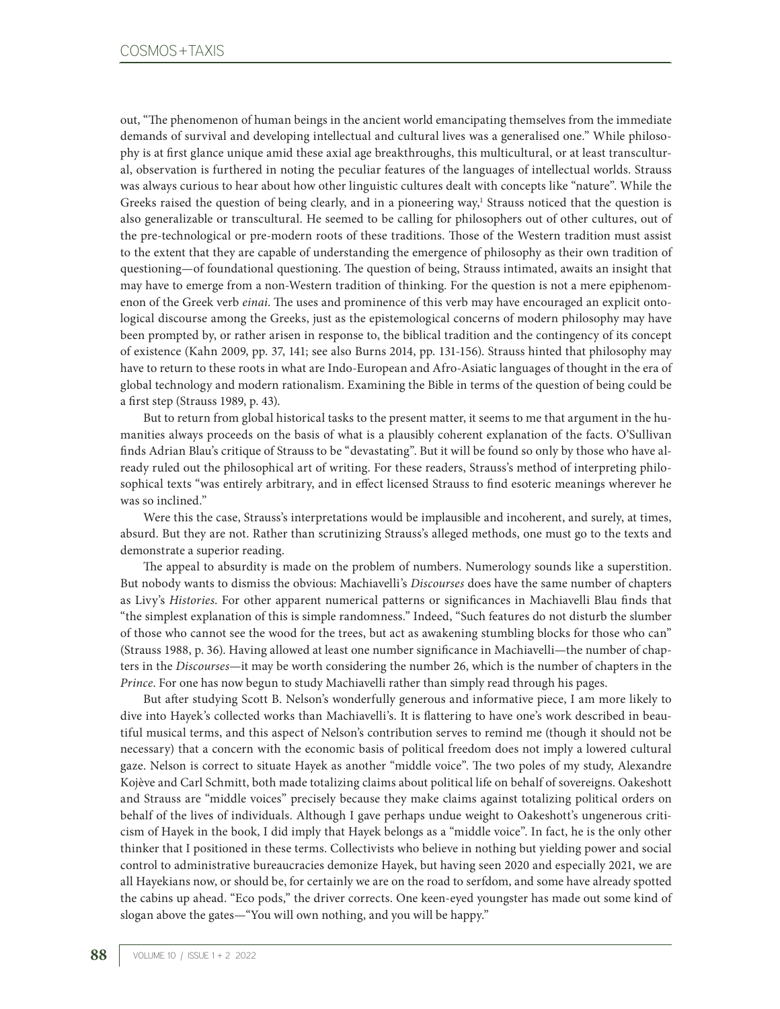out, "The phenomenon of human beings in the ancient world emancipating themselves from the immediate demands of survival and developing intellectual and cultural lives was a generalised one." While philosophy is at first glance unique amid these axial age breakthroughs, this multicultural, or at least transcultural, observation is furthered in noting the peculiar features of the languages of intellectual worlds. Strauss was always curious to hear about how other linguistic cultures dealt with concepts like "nature". While the Greeks raised the question of being clearly, and in a pioneering way,<sup>1</sup> Strauss noticed that the question is also generalizable or transcultural. He seemed to be calling for philosophers out of other cultures, out of the pre-technological or pre-modern roots of these traditions. Those of the Western tradition must assist to the extent that they are capable of understanding the emergence of philosophy as their own tradition of questioning—of foundational questioning. The question of being, Strauss intimated, awaits an insight that may have to emerge from a non-Western tradition of thinking. For the question is not a mere epiphenomenon of the Greek verb *einai*. The uses and prominence of this verb may have encouraged an explicit ontological discourse among the Greeks, just as the epistemological concerns of modern philosophy may have been prompted by, or rather arisen in response to, the biblical tradition and the contingency of its concept of existence (Kahn 2009, pp. 37, 141; see also Burns 2014, pp. 131-156). Strauss hinted that philosophy may have to return to these roots in what are Indo-European and Afro-Asiatic languages of thought in the era of global technology and modern rationalism. Examining the Bible in terms of the question of being could be a first step (Strauss 1989, p. 43).

But to return from global historical tasks to the present matter, it seems to me that argument in the humanities always proceeds on the basis of what is a plausibly coherent explanation of the facts. O'Sullivan finds Adrian Blau's critique of Strauss to be "devastating". But it will be found so only by those who have already ruled out the philosophical art of writing. For these readers, Strauss's method of interpreting philosophical texts "was entirely arbitrary, and in effect licensed Strauss to find esoteric meanings wherever he was so inclined."

Were this the case, Strauss's interpretations would be implausible and incoherent, and surely, at times, absurd. But they are not. Rather than scrutinizing Strauss's alleged methods, one must go to the texts and demonstrate a superior reading.

The appeal to absurdity is made on the problem of numbers. Numerology sounds like a superstition. But nobody wants to dismiss the obvious: Machiavelli's *Discourses* does have the same number of chapters as Livy's *Histories*. For other apparent numerical patterns or significances in Machiavelli Blau finds that "the simplest explanation of this is simple randomness." Indeed, "Such features do not disturb the slumber of those who cannot see the wood for the trees, but act as awakening stumbling blocks for those who can" (Strauss 1988, p. 36). Having allowed at least one number significance in Machiavelli—the number of chapters in the *Discourses*—it may be worth considering the number 26, which is the number of chapters in the *Prince*. For one has now begun to study Machiavelli rather than simply read through his pages.

But after studying Scott B. Nelson's wonderfully generous and informative piece, I am more likely to dive into Hayek's collected works than Machiavelli's. It is flattering to have one's work described in beautiful musical terms, and this aspect of Nelson's contribution serves to remind me (though it should not be necessary) that a concern with the economic basis of political freedom does not imply a lowered cultural gaze. Nelson is correct to situate Hayek as another "middle voice". The two poles of my study, Alexandre Kojève and Carl Schmitt, both made totalizing claims about political life on behalf of sovereigns. Oakeshott and Strauss are "middle voices" precisely because they make claims against totalizing political orders on behalf of the lives of individuals. Although I gave perhaps undue weight to Oakeshott's ungenerous criticism of Hayek in the book, I did imply that Hayek belongs as a "middle voice". In fact, he is the only other thinker that I positioned in these terms. Collectivists who believe in nothing but yielding power and social control to administrative bureaucracies demonize Hayek, but having seen 2020 and especially 2021, we are all Hayekians now, or should be, for certainly we are on the road to serfdom, and some have already spotted the cabins up ahead. "Eco pods," the driver corrects. One keen-eyed youngster has made out some kind of slogan above the gates—"You will own nothing, and you will be happy."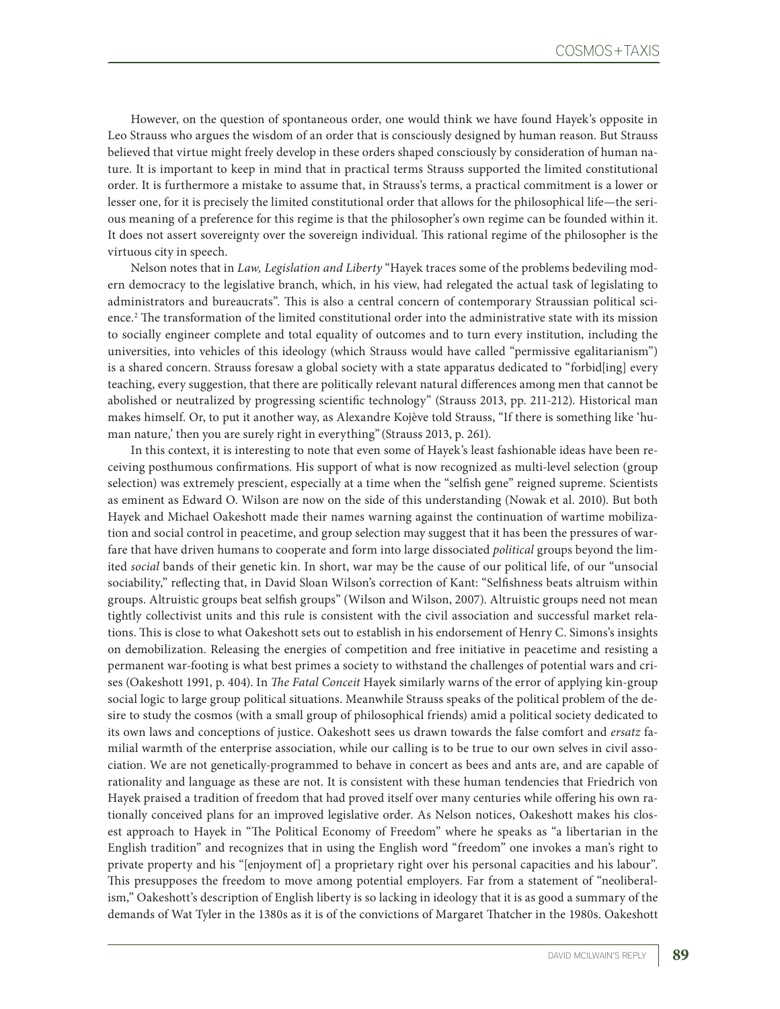However, on the question of spontaneous order, one would think we have found Hayek's opposite in Leo Strauss who argues the wisdom of an order that is consciously designed by human reason. But Strauss believed that virtue might freely develop in these orders shaped consciously by consideration of human nature. It is important to keep in mind that in practical terms Strauss supported the limited constitutional order. It is furthermore a mistake to assume that, in Strauss's terms, a practical commitment is a lower or lesser one, for it is precisely the limited constitutional order that allows for the philosophical life—the serious meaning of a preference for this regime is that the philosopher's own regime can be founded within it. It does not assert sovereignty over the sovereign individual. This rational regime of the philosopher is the virtuous city in speech.

Nelson notes that in *Law, Legislation and Liberty* "Hayek traces some of the problems bedeviling modern democracy to the legislative branch, which, in his view, had relegated the actual task of legislating to administrators and bureaucrats". This is also a central concern of contemporary Straussian political science.2 The transformation of the limited constitutional order into the administrative state with its mission to socially engineer complete and total equality of outcomes and to turn every institution, including the universities, into vehicles of this ideology (which Strauss would have called "permissive egalitarianism") is a shared concern. Strauss foresaw a global society with a state apparatus dedicated to "forbid[ing] every teaching, every suggestion, that there are politically relevant natural differences among men that cannot be abolished or neutralized by progressing scientific technology" (Strauss 2013, pp. 211-212). Historical man makes himself. Or, to put it another way, as Alexandre Kojève told Strauss, "If there is something like 'human nature,' then you are surely right in everything" (Strauss 2013, p. 261).

In this context, it is interesting to note that even some of Hayek's least fashionable ideas have been receiving posthumous confirmations. His support of what is now recognized as multi-level selection (group selection) was extremely prescient, especially at a time when the "selfish gene" reigned supreme. Scientists as eminent as Edward O. Wilson are now on the side of this understanding (Nowak et al. 2010). But both Hayek and Michael Oakeshott made their names warning against the continuation of wartime mobilization and social control in peacetime, and group selection may suggest that it has been the pressures of warfare that have driven humans to cooperate and form into large dissociated *political* groups beyond the limited *social* bands of their genetic kin. In short, war may be the cause of our political life, of our "unsocial sociability," reflecting that, in David Sloan Wilson's correction of Kant: "Selfishness beats altruism within groups. Altruistic groups beat selfish groups" (Wilson and Wilson, 2007). Altruistic groups need not mean tightly collectivist units and this rule is consistent with the civil association and successful market relations. This is close to what Oakeshott sets out to establish in his endorsement of Henry C. Simons's insights on demobilization. Releasing the energies of competition and free initiative in peacetime and resisting a permanent war-footing is what best primes a society to withstand the challenges of potential wars and crises (Oakeshott 1991, p. 404). In *The Fatal Conceit* Hayek similarly warns of the error of applying kin-group social logic to large group political situations. Meanwhile Strauss speaks of the political problem of the desire to study the cosmos (with a small group of philosophical friends) amid a political society dedicated to its own laws and conceptions of justice. Oakeshott sees us drawn towards the false comfort and *ersatz* familial warmth of the enterprise association, while our calling is to be true to our own selves in civil association. We are not genetically-programmed to behave in concert as bees and ants are, and are capable of rationality and language as these are not. It is consistent with these human tendencies that Friedrich von Hayek praised a tradition of freedom that had proved itself over many centuries while offering his own rationally conceived plans for an improved legislative order. As Nelson notices, Oakeshott makes his closest approach to Hayek in "The Political Economy of Freedom" where he speaks as "a libertarian in the English tradition" and recognizes that in using the English word "freedom" one invokes a man's right to private property and his "[enjoyment of] a proprietary right over his personal capacities and his labour". This presupposes the freedom to move among potential employers. Far from a statement of "neoliberalism," Oakeshott's description of English liberty is so lacking in ideology that it is as good a summary of the demands of Wat Tyler in the 1380s as it is of the convictions of Margaret Thatcher in the 1980s. Oakeshott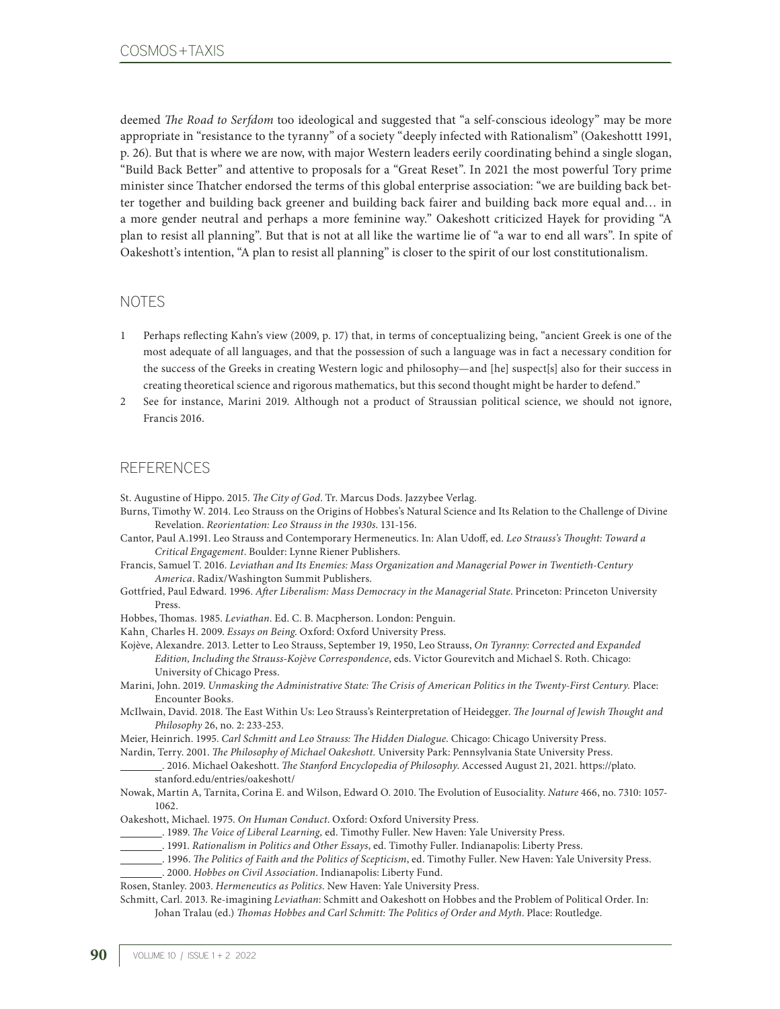deemed *The Road to Serfdom* too ideological and suggested that "a self-conscious ideology" may be more appropriate in "resistance to the tyranny" of a society "deeply infected with Rationalism" (Oakeshottt 1991, p. 26). But that is where we are now, with major Western leaders eerily coordinating behind a single slogan, "Build Back Better" and attentive to proposals for a "Great Reset". In 2021 the most powerful Tory prime minister since Thatcher endorsed the terms of this global enterprise association: "we are building back better together and building back greener and building back fairer and building back more equal and… in a more gender neutral and perhaps a more feminine way." Oakeshott criticized Hayek for providing "A plan to resist all planning". But that is not at all like the wartime lie of "a war to end all wars". In spite of Oakeshott's intention, "A plan to resist all planning" is closer to the spirit of our lost constitutionalism.

## NOTES

- 1 Perhaps reflecting Kahn's view (2009, p. 17) that, in terms of conceptualizing being, "ancient Greek is one of the most adequate of all languages, and that the possession of such a language was in fact a necessary condition for the success of the Greeks in creating Western logic and philosophy—and [he] suspect[s] also for their success in creating theoretical science and rigorous mathematics, but this second thought might be harder to defend."
- 2 See for instance, Marini 2019. Although not a product of Straussian political science, we should not ignore, Francis 2016.

## REFERENCES

St. Augustine of Hippo. 2015. *The City of God*. Tr. Marcus Dods. Jazzybee Verlag.

- Burns, Timothy W. 2014. Leo Strauss on the Origins of Hobbes's Natural Science and Its Relation to the Challenge of Divine Revelation. *Reorientation: Leo Strauss in the 1930s*. 131-156.
- Cantor, Paul A.1991. Leo Strauss and Contemporary Hermeneutics. In: Alan Udoff, ed. *Leo Strauss's Thought: Toward a Critical Engagement*. Boulder: Lynne Riener Publishers.

Francis, Samuel T. 2016. *Leviathan and Its Enemies: Mass Organization and Managerial Power in Twentieth-Century America*. Radix/Washington Summit Publishers.

Gottfried, Paul Edward. 1996. *After Liberalism: Mass Democracy in the Managerial State*. Princeton: Princeton University Press.

Hobbes, Thomas. 1985. *Leviathan*. Ed. C. B. Macpherson. London: Penguin.

Kahn¸ Charles H. 2009. *Essays on Being*. Oxford: Oxford University Press.

Kojève, Alexandre. 2013. Letter to Leo Strauss, September 19, 1950, Leo Strauss, *On Tyranny: Corrected and Expanded Edition, Including the Strauss-Kojève Correspondence*, eds. Victor Gourevitch and Michael S. Roth. Chicago: University of Chicago Press.

Marini, John. 2019. *Unmasking the Administrative State: The Crisis of American Politics in the Twenty-First Century.* Place: Encounter Books.

McIlwain, David. 2018. The East Within Us: Leo Strauss's Reinterpretation of Heidegger. *The Journal of Jewish Thought and Philosophy* 26, no. 2: 233-253.

Meier, Heinrich. 1995. *Carl Schmitt and Leo Strauss: The Hidden Dialogue*. Chicago: Chicago University Press.

Nardin, Terry. 2001. *The Philosophy of Michael Oakeshott.* University Park: Pennsylvania State University Press. . 2016. Michael Oakeshott. *The Stanford Encyclopedia of Philosophy*. Accessed August 21, 2021. [https://plato.](https://plato.stanford.edu/entries/oakeshott/)

- [stanford.edu/entries/oakeshott/](https://plato.stanford.edu/entries/oakeshott/)
- Nowak, Martin A, Tarnita, Corina E. and Wilson, Edward O. 2010. The Evolution of Eusociality. *Nature* 466, no. 7310: 1057- 1062.

Oakeshott, Michael. 1975. *On Human Conduct*. Oxford: Oxford University Press.

- . 1989. *The Voice of Liberal Learning,* ed. Timothy Fuller. New Haven: Yale University Press.
	- . 1991. *Rationalism in Politics and Other Essays*, ed. Timothy Fuller. Indianapolis: Liberty Press.

. 1996. *The Politics of Faith and the Politics of Scepticism*, ed. Timothy Fuller. New Haven: Yale University Press.

. 2000. *Hobbes on Civil Association*. Indianapolis: Liberty Fund.

Rosen, Stanley. 2003. *Hermeneutics as Politics*. New Haven: Yale University Press.

Schmitt, Carl. 2013. Re-imagining *Leviathan*: Schmitt and Oakeshott on Hobbes and the Problem of Political Order. In: Johan Tralau (ed.) *Thomas Hobbes and Carl Schmitt: The Politics of Order and Myth*. Place: Routledge.